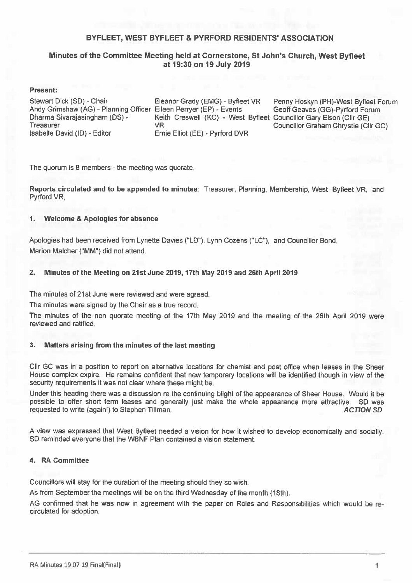### BYFLEET, WEST BYFLEET & PYRFORD RESIDENTS' ASSOCIATION

### Minutes of the Committee Meeting held at Cornerstone, St John's Church, West Byfleet at 19:30 on 19 July 2019

#### **Present:**

Stewart Dick (SD) - Chair Andy Grimshaw (AG) - Planning Officer Eileen Perryer (EP) - Events Dharma Sivarajasingham (DS) -Treasurer Isabelle David (ID) - Editor

Eleanor Grady (EMG) - Byfleet VR Keith Creswell (KC) - West Byfleet Councillor Gary Elson (Cllr GE) **VR** Ernie Elliot (EE) - Pyrford DVR

Penny Hoskyn (PH)-West Byfleet Forum Geoff Geaves (GG)-Pyrford Forum Councillor Graham Chrystie (Cllr GC)

The quorum is 8 members - the meeting was quorate.

Reports circulated and to be appended to minutes: Treasurer, Planning, Membership, West Byfleet VR, and Pyrford VR.

#### **Welcome & Apologies for absence**  $\blacksquare$

Apologies had been received from Lynette Davies ("LD"), Lynn Cozens ("LC"), and Councillor Bond. Marion Malcher ("MM") did not attend.

#### $2.$ Minutes of the Meeting on 21st June 2019, 17th May 2019 and 26th April 2019

The minutes of 21st June were reviewed and were agreed.

The minutes were signed by the Chair as a true record.

The minutes of the non quorate meeting of the 17th May 2019 and the meeting of the 26th April 2019 were reviewed and ratified.

#### $3.$ Matters arising from the minutes of the last meeting

Cllr GC was in a position to report on alternative locations for chemist and post office when leases in the Sheer House complex expire. He remains confident that new temporary locations will be identified though in view of the security requirements it was not clear where these might be.

Under this heading there was a discussion re the continuing blight of the appearance of Sheer House. Would it be possible to offer short term leases and generally just make the whole appearance more attractive. SD was requested to write (again!) to Stephen Tillman. **ACTION SD** 

A view was expressed that West Byfleet needed a vision for how it wished to develop economically and socially. SD reminded everyone that the WBNF Plan contained a vision statement.

#### 4. RA Committee

Councillors will stay for the duration of the meeting should they so wish.

As from September the meetings will be on the third Wednesday of the month (18th).

AG confirmed that he was now in agreement with the paper on Roles and Responsibilities which would be recirculated for adoption.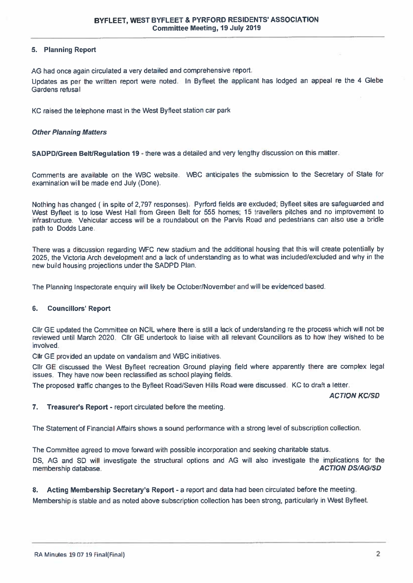### 5. Planning Report

AG had once again circulated a very detailed and comprehensive report.

Updates as per the written report were noted. In Byfleet the applicant has lodged an appeal re the 4 Glebe Gardens refusal

KC raised the telephone mast in the West Byfleet station car park

#### **Other Planning Matters**

SADPD/Green Belt/Regulation 19 - there was a detailed and very lengthy discussion on this matter.

Comments are available on the WBC website. WBC anticipates the submission to the Secretary of State for examination will be made end July (Done).

Nothing has changed (in spite of 2,797 responses). Pyrford fields are excluded; Byfleet sites are safeguarded and West Byfleet is to lose West Hall from Green Belt for 555 homes; 15 travellers pitches and no improvement to infrastructure. Vehicular access will be a roundabout on the Parvis Road and pedestrians can also use a bridle path to Dodds Lane.

There was a discussion regarding WFC new stadium and the additional housing that this will create potentially by 2025, the Victoria Arch development and a lack of understanding as to what was included/excluded and why in the new build housing projections under the SADPD Plan.

The Planning Inspectorate enquiry will likely be October/November and will be evidenced based.

#### $6.$ **Councillors' Report**

Cllr GE updated the Committee on NCIL where there is still a lack of understanding re the process which will not be reviewed until March 2020. Clir GE undertook to liaise with all relevant Councillors as to how they wished to be involved.

Clir GE provided an update on vandalism and WBC initiatives.

Clir GE discussed the West Byfleet recreation Ground playing field where apparently there are complex legal issues. They have now been reclassified as school playing fields.

The proposed traffic changes to the Byfleet Road/Seven Hills Road were discussed. KC to draft a letter.

**ACTION KC/SD** 

 $7.$ Treasurer's Report - report circulated before the meeting.

The Statement of Financial Affairs shows a sound performance with a strong level of subscription collection.

The Committee agreed to move forward with possible incorporation and seeking charitable status.

DS. AG and SD will investigate the structural options and AG will also investigate the implications for the **ACTION DS/AG/SD** membership database.

Acting Membership Secretary's Report - a report and data had been circulated before the meeting.  $\mathbf{8}$ 

Membership is stable and as noted above subscription collection has been strong, particularly in West Byfleet.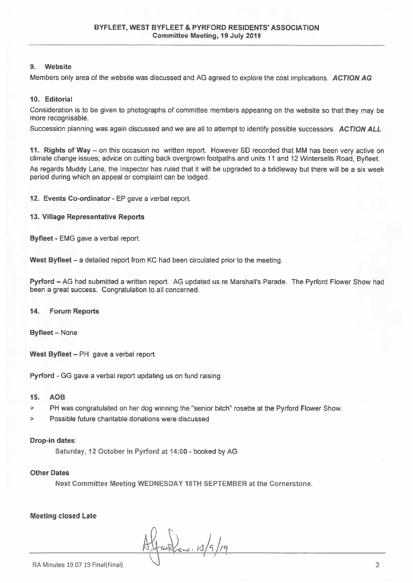#### Website  $\mathbf{Q}$

Members only area of the website was discussed and AG agreed to explore the cost implications. ACTION AG

#### 10. Editorial

Consideration is to be given to photographs of committee members appearing on the website so that they may be more recognisable.

Succession planning was again discussed and we are all to attempt to identify possible successors. ACTION ALL

11. Rights of Way – on this occasion no written report. However SD recorded that MM has been very active on climate change issues; advice on cutting back overgrown footpaths and units 11 and 12 Wintersells Road, Byfleet,

As regards Muddy Lane, the Inspector has ruled that it will be upgraded to a bridleway but there will be a six week period during which an appeal or complaint can be lodged.

12. Events Co-ordinator - EP gave a verbal report.

#### 13. Village Representative Reports

Byfleet - EMG gave a verbal report.

West Byfleet - a detailed report from KC had been circulated prior to the meeting.

Pyrford - AG had submitted a written report. AG updated us re Marshall's Parade. The Pyrford Flower Show had been a great success. Congratulation to all concerned.

#### $14.$ **Forum Reports**

**Byfleet - None** 

West Byfleet - PH gave a verbal report.

Pyrford - GG gave a verbal report updating us on fund raising

#### 15. **AOB**

- PH was congratulated on her dog winning the "senior bitch" rosette at the Pyrford Flower Show.  $\geq$
- Possible future charitable donations were discussed ×.

#### Drop-in dates:

Saturday, 12 October in Pyrford at 14:00 - booked by AG

#### **Other Dates**

Next Committee Meeting WEDNESDAY 18TH SEPTEMBER at the Cornerstone.

**Meeting closed Late** 

4-22 15/9/19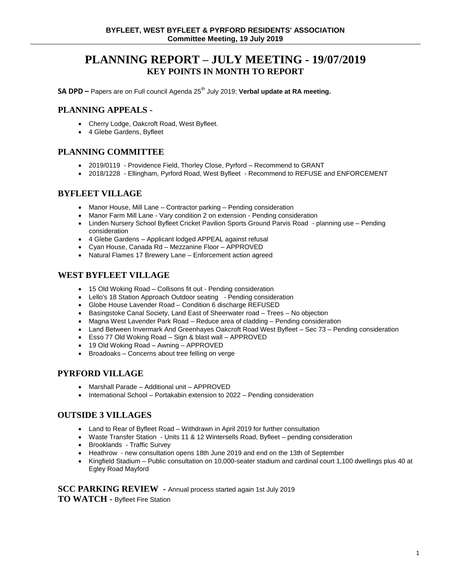# **PLANNING REPORT – JULY MEETING - 19/07/2019 KEY POINTS IN MONTH TO REPORT**

**SA DPD** – Papers are on Full council Agenda 25<sup>th</sup> July 2019; Verbal update at RA meeting.

### **PLANNING APPEALS -**

- Cherry Lodge, Oakcroft Road, West Byfleet.
- 4 Glebe Gardens, Byfleet

## **PLANNING COMMITTEE**

- 2019/0119 Providence Field, Thorley Close, Pyrford Recommend to GRANT
- 2018/1228 Ellingham, Pyrford Road, West Byfleet Recommend to REFUSE and ENFORCEMENT

### **BYFLEET VILLAGE**

- Manor House, Mill Lane Contractor parking Pending consideration
- Manor Farm Mill Lane Vary condition 2 on extension Pending consideration
- Linden Nursery School Byfleet Cricket Pavilion Sports Ground Parvis Road planning use Pending consideration
- 4 Glebe Gardens Applicant lodged APPEAL against refusal
- Cyan House, Canada Rd Mezzanine Floor APPROVED
- Natural Flames 17 Brewery Lane Enforcement action agreed

## **WEST BYFLEET VILLAGE**

- 15 Old Woking Road Collisons fit out Pending consideration
- Lello's 18 Station Approach Outdoor seating Pending consideration
- Globe House Lavender Road Condition 6 discharge REFUSED
- Basingstoke Canal Society, Land East of Sheerwater road Trees No objection
- Magna West Lavender Park Road Reduce area of cladding Pending consideration
- Land Between Invermark And Greenhayes Oakcroft Road West Byfleet Sec 73 Pending consideration
- Esso 77 Old Woking Road Sign & blast wall APPROVED
- 19 Old Woking Road Awning APPROVED
- Broadoaks Concerns about tree felling on verge

### **PYRFORD VILLAGE**

- Marshall Parade Additional unit APPROVED
- International School Portakabin extension to 2022 Pending consideration

### **OUTSIDE 3 VILLAGES**

- Land to Rear of Byfleet Road Withdrawn in April 2019 for further consultation
- Waste Transfer Station Units 11 & 12 Wintersells Road, Byfleet pending consideration
- Brooklands Traffic Survey
- Heathrow new consultation opens 18th June 2019 and end on the 13th of September
- Kingfield Stadium Public consultation on 10,000-seater stadium and cardinal court 1,100 dwellings plus 40 at Egley Road Mayford

**SCC PARKING REVIEW -** Annual process started again 1st July 2019 **TO WATCH -** Byfleet Fire Station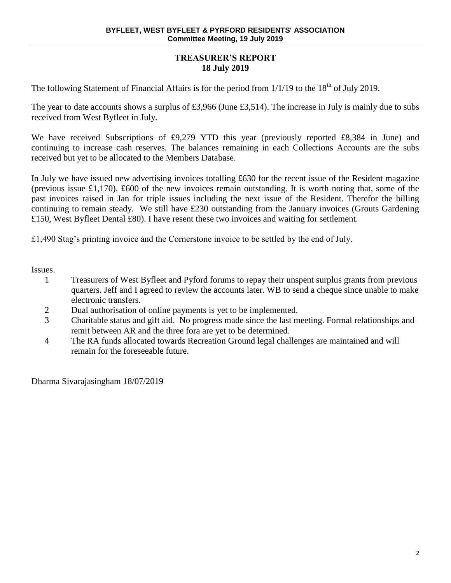# **TREASURER'S REPORT 18 July 2019**

The following Statement of Financial Affairs is for the period from  $1/1/19$  to the  $18<sup>th</sup>$  of July 2019.

The year to date accounts shows a surplus of £3,966 (June £3,514). The increase in July is mainly due to subs received from West Byfleet in July.

We have received Subscriptions of £9,279 YTD this year (previously reported £8,384 in June) and continuing to increase cash reserves. The balances remaining in each Collections Accounts are the subs received but yet to be allocated to the Members Database.

In July we have issued new advertising invoices totalling £630 for the recent issue of the Resident magazine (previous issue £1,170). £600 of the new invoices remain outstanding. It is worth noting that, some of the past invoices raised in Jan for triple issues including the next issue of the Resident. Therefor the billing continuing to remain steady. We still have £230 outstanding from the January invoices (Grouts Gardening £150, West Byfleet Dental £80). I have resent these two invoices and waiting for settlement.

£1,490 Stag's printing invoice and the Cornerstone invoice to be settled by the end of July.

Issues.

- 1 Treasurers of West Byfleet and Pyford forums to repay their unspent surplus grants from previous quarters. Jeff and I agreed to review the accounts later. WB to send a cheque since unable to make electronic transfers.
- 2 Dual authorisation of online payments is yet to be implemented.
- 3 Charitable status and gift aid. No progress made since the last meeting. Formal relationships and remit between AR and the three fora are yet to be determined.
- 4 The RA funds allocated towards Recreation Ground legal challenges are maintained and will remain for the foreseeable future.

Dharma Sivarajasingham 18/07/2019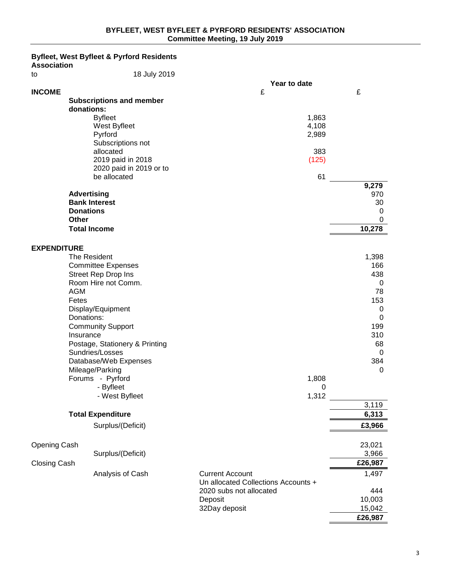# **Byfleet, West Byfleet & Pyrford Residents**

**Association**

| to                  | 18 July 2019                                     |                                     |              |
|---------------------|--------------------------------------------------|-------------------------------------|--------------|
|                     |                                                  | Year to date                        |              |
| <b>INCOME</b>       |                                                  | £                                   | £            |
|                     | <b>Subscriptions and member</b>                  |                                     |              |
|                     | donations:                                       |                                     |              |
|                     | <b>Byfleet</b>                                   | 1,863                               |              |
|                     | West Byfleet                                     | 4,108                               |              |
|                     | Pyrford                                          | 2,989                               |              |
|                     | Subscriptions not<br>allocated                   | 383                                 |              |
|                     | 2019 paid in 2018                                | (125)                               |              |
|                     | 2020 paid in 2019 or to                          |                                     |              |
|                     | be allocated                                     | 61                                  |              |
|                     |                                                  |                                     | 9,279        |
|                     | <b>Advertising</b>                               |                                     | 970          |
|                     | <b>Bank Interest</b>                             |                                     | 30           |
|                     | <b>Donations</b>                                 |                                     | 0            |
|                     | Other                                            |                                     | 0            |
|                     | <b>Total Income</b>                              |                                     | 10,278       |
|                     |                                                  |                                     |              |
| <b>EXPENDITURE</b>  |                                                  |                                     |              |
|                     | The Resident                                     |                                     | 1,398<br>166 |
|                     | <b>Committee Expenses</b><br>Street Rep Drop Ins |                                     | 438          |
|                     | Room Hire not Comm.                              |                                     | 0            |
|                     | <b>AGM</b>                                       |                                     | 78           |
|                     | Fetes                                            |                                     | 153          |
|                     | Display/Equipment                                |                                     | 0            |
|                     | Donations:                                       |                                     | 0            |
|                     | <b>Community Support</b>                         |                                     | 199          |
|                     | Insurance                                        |                                     | 310          |
|                     | Postage, Stationery & Printing                   |                                     | 68           |
|                     | Sundries/Losses                                  |                                     | 0            |
|                     | Database/Web Expenses                            |                                     | 384          |
|                     | Mileage/Parking                                  |                                     | 0            |
|                     | Forums - Pyrford<br>- Byfleet                    | 1,808<br>0                          |              |
|                     | - West Byfleet                                   | 1,312                               |              |
|                     |                                                  |                                     | 3,119        |
|                     | <b>Total Expenditure</b>                         |                                     | 6,313        |
|                     | Surplus/(Deficit)                                |                                     | £3,966       |
|                     |                                                  |                                     |              |
| Opening Cash        |                                                  |                                     | 23,021       |
|                     | Surplus/(Deficit)                                |                                     | 3,966        |
| <b>Closing Cash</b> |                                                  |                                     | £26,987      |
|                     | Analysis of Cash                                 | <b>Current Account</b>              | 1,497        |
|                     |                                                  | Un allocated Collections Accounts + |              |
|                     |                                                  | 2020 subs not allocated             | 444          |
|                     |                                                  | Deposit                             | 10,003       |
|                     |                                                  | 32Day deposit                       | 15,042       |
|                     |                                                  |                                     | £26,987      |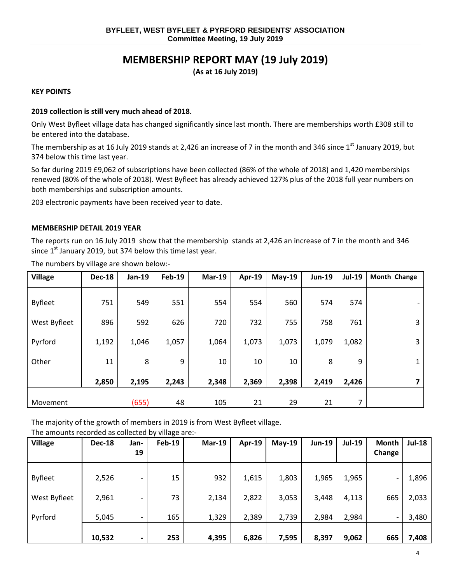# **MEMBERSHIP REPORT MAY (19 July 2019)**

**(As at 16 July 2019)**

### **KEY POINTS**

### **2019 collection is still very much ahead of 2018.**

Only West Byfleet village data has changed significantly since last month. There are memberships worth £308 still to be entered into the database.

The membership as at 16 July 2019 stands at 2,426 an increase of 7 in the month and 346 since  $1<sup>st</sup>$  January 2019, but 374 below this time last year.

So far during 2019 £9,062 of subscriptions have been collected (86% of the whole of 2018) and 1,420 memberships renewed (80% of the whole of 2018). West Byfleet has already achieved 127% plus of the 2018 full year numbers on both memberships and subscription amounts.

203 electronic payments have been received year to date.

#### **MEMBERSHIP DETAIL 2019 YEAR**

The reports run on 16 July 2019 show that the membership stands at 2,426 an increase of 7 in the month and 346 since  $1<sup>st</sup>$  January 2019, but 374 below this time last year.

| <b>Village</b> | <b>Dec-18</b> | <b>Jan-19</b> | <b>Feb-19</b> | $Mar-19$ | <b>Apr-19</b> | $May-19$ | <b>Jun-19</b> | <b>Jul-19</b> | Month Change             |
|----------------|---------------|---------------|---------------|----------|---------------|----------|---------------|---------------|--------------------------|
| <b>Byfleet</b> | 751           | 549           | 551           | 554      | 554           | 560      | 574           | 574           | $\overline{\phantom{a}}$ |
| West Byfleet   | 896           | 592           | 626           | 720      | 732           | 755      | 758           | 761           | 3                        |
| Pyrford        | 1,192         | 1,046         | 1,057         | 1,064    | 1,073         | 1,073    | 1,079         | 1,082         | 3                        |
| Other          | 11            | 8             | 9             | 10       | 10            | 10       | 8             | 9             | $\mathbf{1}$             |
|                | 2,850         | 2,195         | 2,243         | 2,348    | 2,369         | 2,398    | 2,419         | 2,426         | 7                        |
| Movement       |               | (655)         | 48            | 105      | 21            | 29       | 21            | 7             |                          |

The numbers by village are shown below:-

The majority of the growth of members in 2019 is from West Byfleet village.

The amounts recorded as collected by village are:-

| <b>Village</b> | <b>Dec-18</b> | Jan-<br>19               | <b>Feb-19</b> | $Mar-19$ | Apr-19 | $May-19$ | <b>Jun-19</b> | <b>Jul-19</b> | <b>Month</b><br>Change | <b>Jul-18</b> |
|----------------|---------------|--------------------------|---------------|----------|--------|----------|---------------|---------------|------------------------|---------------|
| <b>Byfleet</b> | 2,526         | $\overline{\phantom{0}}$ | 15            | 932      | 1,615  | 1,803    | 1,965         | 1,965         |                        | 1,896         |
| West Byfleet   | 2,961         |                          | 73            | 2,134    | 2,822  | 3,053    | 3,448         | 4,113         | 665                    | 2,033         |
| Pyrford        | 5,045         |                          | 165           | 1,329    | 2,389  | 2,739    | 2,984         | 2,984         |                        | 3,480         |
|                | 10,532        | $\overline{\phantom{0}}$ | 253           | 4,395    | 6,826  | 7,595    | 8,397         | 9,062         | 665                    | 7,408         |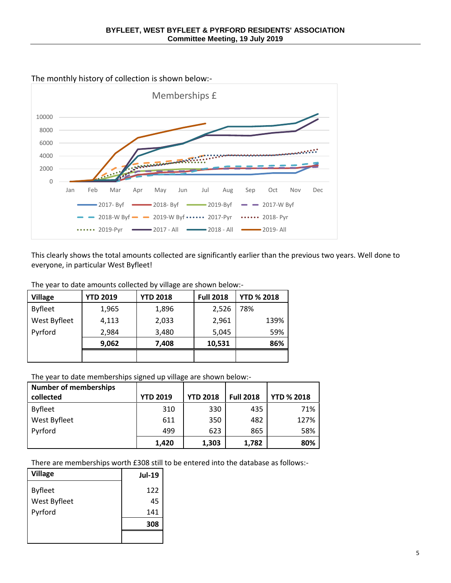

This clearly shows the total amounts collected are significantly earlier than the previous two years. Well done to everyone, in particular West Byfleet!

| The year to date amounts collected by village are shown below:- |                 |                 |                                            |  |  |  |  |  |
|-----------------------------------------------------------------|-----------------|-----------------|--------------------------------------------|--|--|--|--|--|
| Avillage                                                        | <b>VTD 2019</b> | <b>VTD 2018</b> | $\overline{F}$ ull 2018 $\overline{F}$ VTD |  |  |  |  |  |

| <b>Village</b> | <b>YTD 2019</b> | <b>YTD 2018</b> | <b>Full 2018</b> | <b>YTD % 2018</b> |
|----------------|-----------------|-----------------|------------------|-------------------|
| <b>Byfleet</b> | 1,965           | 1,896           | 2,526            | 78%               |
| West Byfleet   | 4,113           | 2,033           | 2,961            | 139%              |
| Pyrford        | 2,984           | 3,480           | 5,045            | 59%               |
|                | 9,062           | 7,408           | 10,531           | 86%               |
|                |                 |                 |                  |                   |

The year to date memberships signed up village are shown below:-

| <b>Number of memberships</b> |                 |                 |                  |                   |
|------------------------------|-----------------|-----------------|------------------|-------------------|
| collected                    | <b>YTD 2019</b> | <b>YTD 2018</b> | <b>Full 2018</b> | <b>YTD % 2018</b> |
| <b>Byfleet</b>               | 310             | 330             | 435              | 71%               |
| West Byfleet                 | 611             | 350             | 482              | 127%              |
| Pyrford                      | 499             | 623             | 865              | 58%               |
|                              | 1,420           | 1,303           | 1,782            | 80%               |

There are memberships worth £308 still to be entered into the database as follows:-

| <b>Village</b> | <b>Jul-19</b> |
|----------------|---------------|
| <b>Byfleet</b> | 122           |
| West Byfleet   | 45            |
| Pyrford        | 141           |
|                | 308           |
|                |               |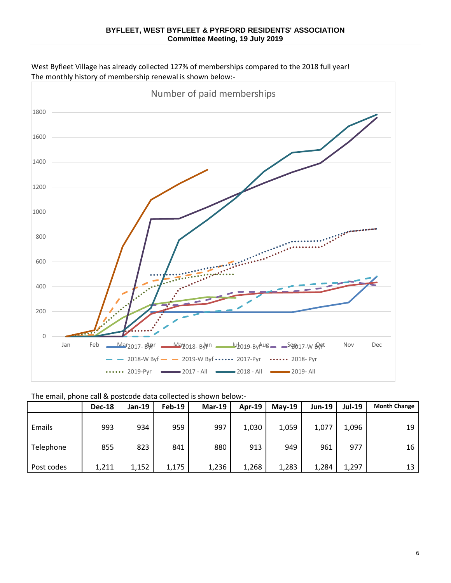West Byfleet Village has already collected 127% of memberships compared to the 2018 full year! The monthly history of membership renewal is shown below:-



# The email, phone call & postcode data collected is shown below:-

|            | <b>Dec-18</b> | Jan-19 | $Feb-19$ | $Mar-19$ | Apr-19 | $May-19$ | $Jun-19$ | <b>Jul-19</b> | <b>Month Change</b> |
|------------|---------------|--------|----------|----------|--------|----------|----------|---------------|---------------------|
| Emails     | 993           | 934    | 959      | 997      | 1,030  | 1,059    | 1,077    | 1,096         | 19                  |
| Telephone  | 855           | 823    | 841      | 880      | 913    | 949      | 961      | 977           | 16                  |
| Post codes | 1,211         | 1,152  | 1,175    | 1,236    | 1,268  | 1,283    | 1,284    | 1,297         | 13                  |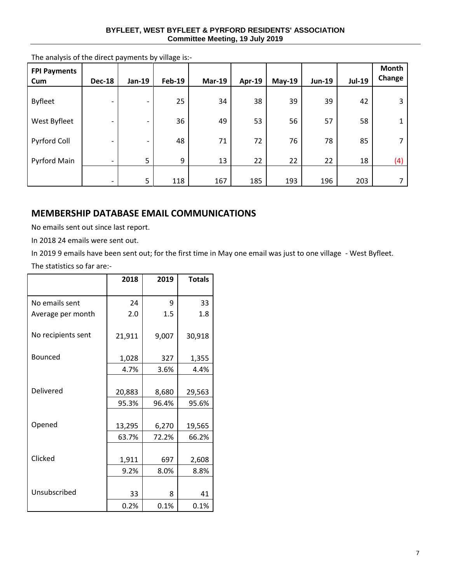### **BYFLEET, WEST BYFLEET & PYRFORD RESIDENTS' ASSOCIATION Committee Meeting, 19 July 2019**

| <b>FPI Payments</b><br>Cum | <b>Dec-18</b>            | Jan-19 | <b>Feb-19</b> | <b>Mar-19</b> | Apr-19 | <b>May-19</b> | <b>Jun-19</b> | <b>Jul-19</b> | <b>Month</b><br>Change |
|----------------------------|--------------------------|--------|---------------|---------------|--------|---------------|---------------|---------------|------------------------|
| <b>Byfleet</b>             | $\overline{\phantom{a}}$ |        | 25            | 34            | 38     | 39            | 39            | 42            | 3                      |
| West Byfleet               |                          |        | 36            | 49            | 53     | 56            | 57            | 58            |                        |
| Pyrford Coll               |                          |        | 48            | 71            | 72     | 76            | 78            | 85            |                        |
| Pyrford Main               | $\overline{\phantom{a}}$ | 5      | 9             | 13            | 22     | 22            | 22            | 18            | (4)                    |
|                            | $\overline{\phantom{a}}$ | 5      | 118           | 167           | 185    | 193           | 196           | 203           |                        |

The analysis of the direct payments by village is:-

# **MEMBERSHIP DATABASE EMAIL COMMUNICATIONS**

No emails sent out since last report.

In 2018 24 emails were sent out.

In 2019 9 emails have been sent out; for the first time in May one email was just to one village - West Byfleet.

The statistics so far are:-

|                    | 2018   | 2019  | <b>Totals</b> |
|--------------------|--------|-------|---------------|
|                    |        |       |               |
| No emails sent     | 24     | 9     | 33            |
| Average per month  | 2.0    | 1.5   | 1.8           |
| No recipients sent | 21,911 | 9,007 | 30,918        |
| <b>Bounced</b>     | 1,028  | 327   | 1,355         |
|                    | 4.7%   | 3.6%  | 4.4%          |
|                    |        |       |               |
| Delivered          | 20,883 | 8,680 | 29,563        |
|                    | 95.3%  | 96.4% | 95.6%         |
|                    |        |       |               |
| Opened             | 13,295 | 6,270 | 19,565        |
|                    | 63.7%  | 72.2% | 66.2%         |
|                    |        |       |               |
| Clicked            | 1,911  | 697   | 2,608         |
|                    | 9.2%   | 8.0%  | 8.8%          |
|                    |        |       |               |
| Unsubscribed       | 33     | 8     | 41            |
|                    | 0.2%   | 0.1%  | 0.1%          |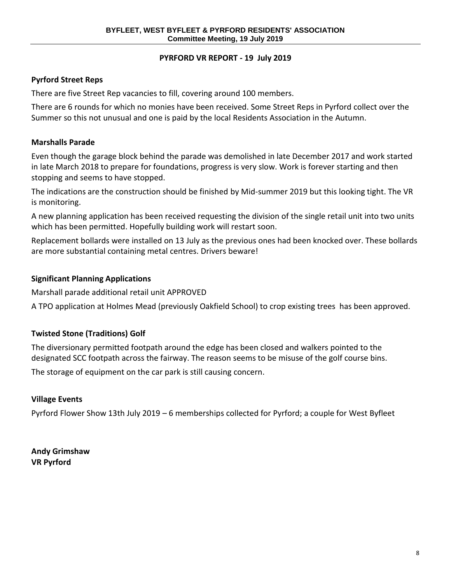# **PYRFORD VR REPORT - 19 July 2019**

# **Pyrford Street Reps**

There are five Street Rep vacancies to fill, covering around 100 members.

There are 6 rounds for which no monies have been received. Some Street Reps in Pyrford collect over the Summer so this not unusual and one is paid by the local Residents Association in the Autumn.

# **Marshalls Parade**

Even though the garage block behind the parade was demolished in late December 2017 and work started in late March 2018 to prepare for foundations, progress is very slow. Work is forever starting and then stopping and seems to have stopped.

The indications are the construction should be finished by Mid-summer 2019 but this looking tight. The VR is monitoring.

A new planning application has been received requesting the division of the single retail unit into two units which has been permitted. Hopefully building work will restart soon.

Replacement bollards were installed on 13 July as the previous ones had been knocked over. These bollards are more substantial containing metal centres. Drivers beware!

# **Significant Planning Applications**

Marshall parade additional retail unit APPROVED

A TPO application at Holmes Mead (previously Oakfield School) to crop existing trees has been approved.

# **Twisted Stone (Traditions) Golf**

The diversionary permitted footpath around the edge has been closed and walkers pointed to the designated SCC footpath across the fairway. The reason seems to be misuse of the golf course bins.

The storage of equipment on the car park is still causing concern.

# **Village Events**

Pyrford Flower Show 13th July 2019 – 6 memberships collected for Pyrford; a couple for West Byfleet

**Andy Grimshaw VR Pyrford**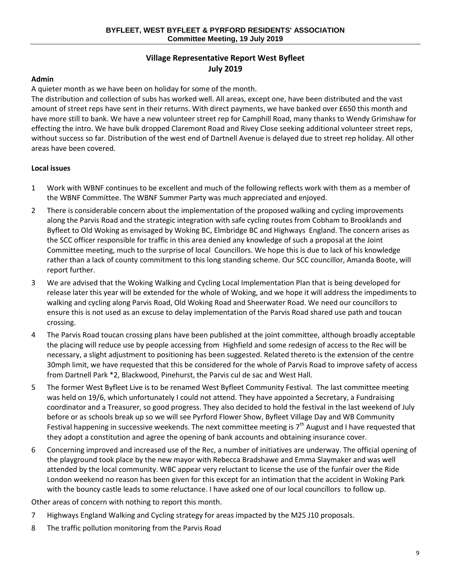# **Village Representative Report West Byfleet July 2019**

# **Admin**

A quieter month as we have been on holiday for some of the month.

The distribution and collection of subs has worked well. All areas, except one, have been distributed and the vast amount of street reps have sent in their returns. With direct payments, we have banked over £650 this month and have more still to bank. We have a new volunteer street rep for Camphill Road, many thanks to Wendy Grimshaw for effecting the intro. We have bulk dropped Claremont Road and Rivey Close seeking additional volunteer street reps, without success so far. Distribution of the west end of Dartnell Avenue is delayed due to street rep holiday. All other areas have been covered.

# **Local issues**

- 1 Work with WBNF continues to be excellent and much of the following reflects work with them as a member of the WBNF Committee. The WBNF Summer Party was much appreciated and enjoyed.
- 2 There is considerable concern about the implementation of the proposed walking and cycling improvements along the Parvis Road and the strategic integration with safe cycling routes from Cobham to Brooklands and Byfleet to Old Woking as envisaged by Woking BC, Elmbridge BC and Highways England. The concern arises as the SCC officer responsible for traffic in this area denied any knowledge of such a proposal at the Joint Committee meeting, much to the surprise of local Councillors. We hope this is due to lack of his knowledge rather than a lack of county commitment to this long standing scheme. Our SCC councillor, Amanda Boote, will report further.
- 3 We are advised that the Woking Walking and Cycling Local Implementation Plan that is being developed for release later this year will be extended for the whole of Woking, and we hope it will address the impediments to walking and cycling along Parvis Road, Old Woking Road and Sheerwater Road. We need our councillors to ensure this is not used as an excuse to delay implementation of the Parvis Road shared use path and toucan crossing.
- 4 The Parvis Road toucan crossing plans have been published at the joint committee, although broadly acceptable the placing will reduce use by people accessing from Highfield and some redesign of access to the Rec will be necessary, a slight adjustment to positioning has been suggested. Related thereto is the extension of the centre 30mph limit, we have requested that this be considered for the whole of Parvis Road to improve safety of access from Dartnell Park \*2, Blackwood, Pinehurst, the Parvis cul de sac and West Hall.
- 5 The former West Byfleet Live is to be renamed West Byfleet Community Festival. The last committee meeting was held on 19/6, which unfortunately I could not attend. They have appointed a Secretary, a Fundraising coordinator and a Treasurer, so good progress. They also decided to hold the festival in the last weekend of July before or as schools break up so we will see Pyrford Flower Show, Byfleet Village Day and WB Community Festival happening in successive weekends. The next committee meeting is  $7<sup>th</sup>$  August and I have requested that they adopt a constitution and agree the opening of bank accounts and obtaining insurance cover.
- 6 Concerning improved and increased use of the Rec, a number of initiatives are underway. The official opening of the playground took place by the new mayor with Rebecca Bradshawe and Emma Slaymaker and was well attended by the local community. WBC appear very reluctant to license the use of the funfair over the Ride London weekend no reason has been given for this except for an intimation that the accident in Woking Park with the bouncy castle leads to some reluctance. I have asked one of our local councillors to follow up.

Other areas of concern with nothing to report this month.

- 7 Highways England Walking and Cycling strategy for areas impacted by the M25 J10 proposals.
- 8 The traffic pollution monitoring from the Parvis Road